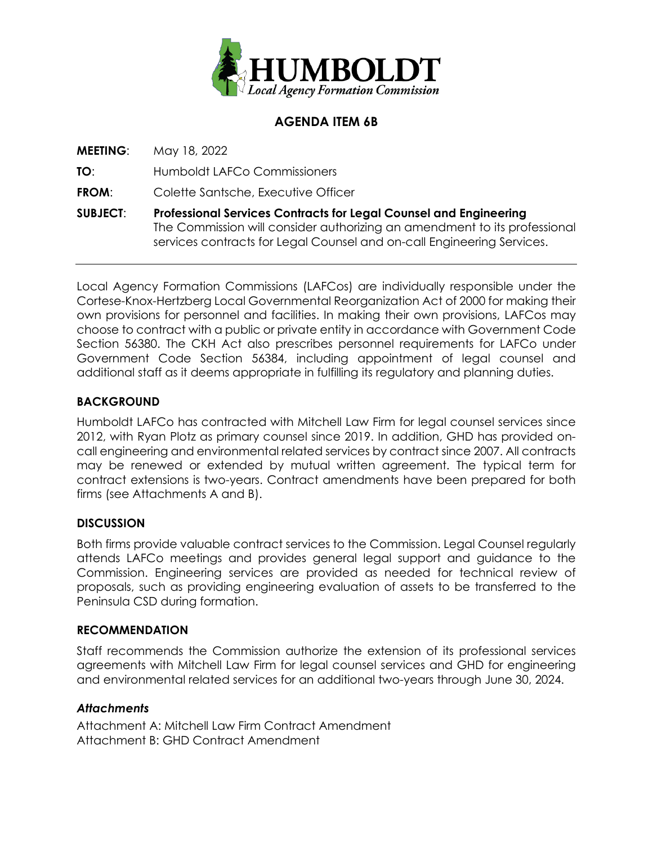

## **AGENDA ITEM 6B**

**MEETING**: May 18, 2022

**TO**: Humboldt LAFCo Commissioners

**FROM:** Colette Santsche, Executive Officer

**SUBJECT**: **Professional Services Contracts for Legal Counsel and Engineering** The Commission will consider authorizing an amendment to its professional services contracts for Legal Counsel and on-call Engineering Services.

Local Agency Formation Commissions (LAFCos) are individually responsible under the Cortese-Knox-Hertzberg Local Governmental Reorganization Act of 2000 for making their own provisions for personnel and facilities. In making their own provisions, LAFCos may choose to contract with a public or private entity in accordance with Government Code Section 56380. The CKH Act also prescribes personnel requirements for LAFCo under Government Code Section 56384, including appointment of legal counsel and additional staff as it deems appropriate in fulfilling its regulatory and planning duties.

## **BACKGROUND**

Humboldt LAFCo has contracted with Mitchell Law Firm for legal counsel services since 2012, with Ryan Plotz as primary counsel since 2019. In addition, GHD has provided oncall engineering and environmental related services by contract since 2007. All contracts may be renewed or extended by mutual written agreement. The typical term for contract extensions is two-years. Contract amendments have been prepared for both firms (see Attachments A and B).

#### **DISCUSSION**

Both firms provide valuable contract services to the Commission. Legal Counsel regularly attends LAFCo meetings and provides general legal support and guidance to the Commission. Engineering services are provided as needed for technical review of proposals, such as providing engineering evaluation of assets to be transferred to the Peninsula CSD during formation.

#### **RECOMMENDATION**

Staff recommends the Commission authorize the extension of its professional services agreements with Mitchell Law Firm for legal counsel services and GHD for engineering and environmental related services for an additional two-years through June 30, 2024.

#### *Attachments*

Attachment A: Mitchell Law Firm Contract Amendment Attachment B: GHD Contract Amendment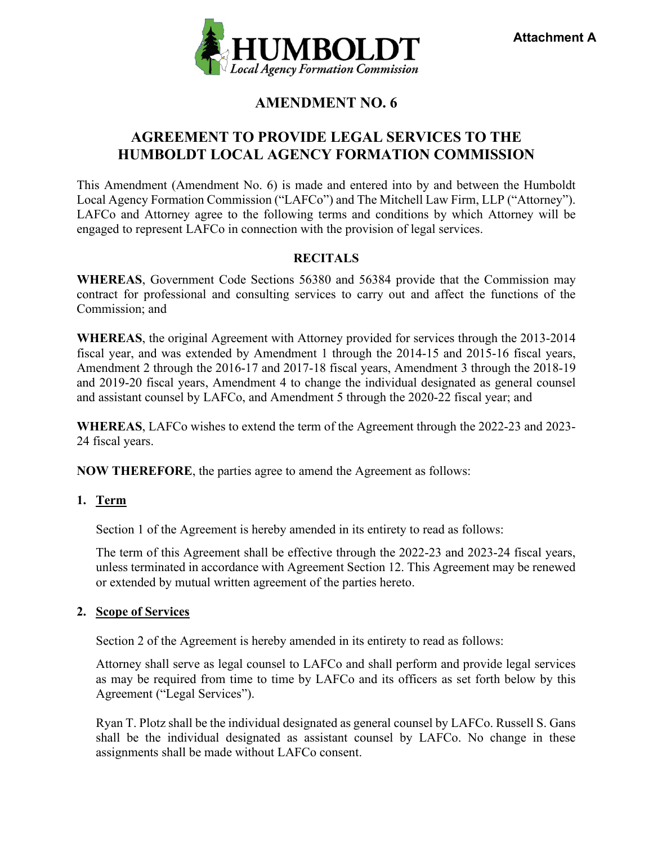

## **AMENDMENT NO. 6**

## **AGREEMENT TO PROVIDE LEGAL SERVICES TO THE HUMBOLDT LOCAL AGENCY FORMATION COMMISSION**

This Amendment (Amendment No. 6) is made and entered into by and between the Humboldt Local Agency Formation Commission ("LAFCo") and The Mitchell Law Firm, LLP ("Attorney"). LAFCo and Attorney agree to the following terms and conditions by which Attorney will be engaged to represent LAFCo in connection with the provision of legal services.

## **RECITALS**

**WHEREAS**, Government Code Sections 56380 and 56384 provide that the Commission may contract for professional and consulting services to carry out and affect the functions of the Commission; and

**WHEREAS**, the original Agreement with Attorney provided for services through the 2013-2014 fiscal year, and was extended by Amendment 1 through the 2014-15 and 2015-16 fiscal years, Amendment 2 through the 2016-17 and 2017-18 fiscal years, Amendment 3 through the 2018-19 and 2019-20 fiscal years, Amendment 4 to change the individual designated as general counsel and assistant counsel by LAFCo, and Amendment 5 through the 2020-22 fiscal year; and

**WHEREAS**, LAFCo wishes to extend the term of the Agreement through the 2022-23 and 2023- 24 fiscal years.

**NOW THEREFORE**, the parties agree to amend the Agreement as follows:

## **1. Term**

Section 1 of the Agreement is hereby amended in its entirety to read as follows:

The term of this Agreement shall be effective through the 2022-23 and 2023-24 fiscal years, unless terminated in accordance with Agreement Section 12. This Agreement may be renewed or extended by mutual written agreement of the parties hereto.

#### **2. Scope of Services**

Section 2 of the Agreement is hereby amended in its entirety to read as follows:

Attorney shall serve as legal counsel to LAFCo and shall perform and provide legal services as may be required from time to time by LAFCo and its officers as set forth below by this Agreement ("Legal Services").

Ryan T. Plotz shall be the individual designated as general counsel by LAFCo. Russell S. Gans shall be the individual designated as assistant counsel by LAFCo. No change in these assignments shall be made without LAFCo consent.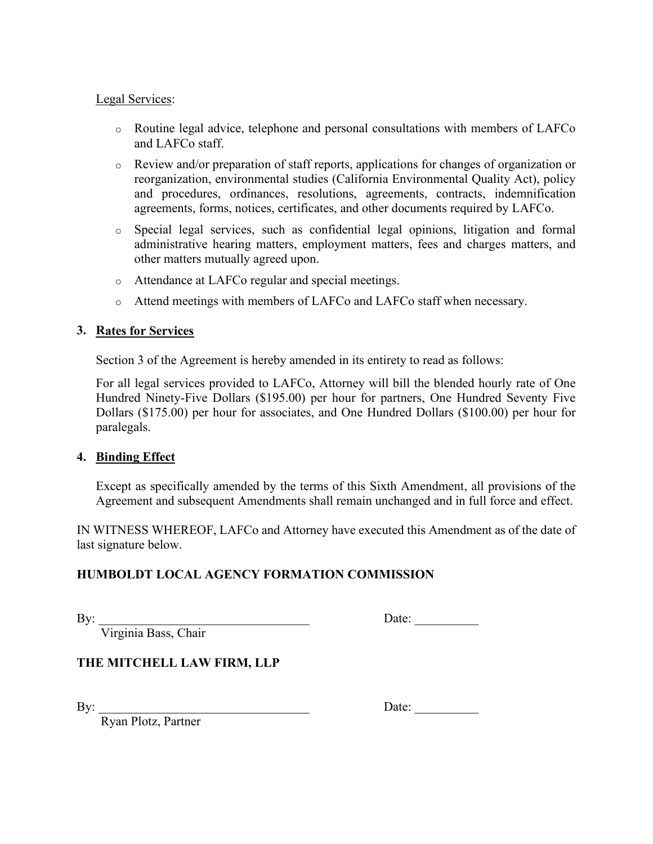### Legal Services:

- o Routine legal advice, telephone and personal consultations with members of LAFCo and LAFCo staff.
- o Review and/or preparation of staff reports, applications for changes of organization or reorganization, environmental studies (California Environmental Quality Act), policy and procedures, ordinances, resolutions, agreements, contracts, indemnification agreements, forms, notices, certificates, and other documents required by LAFCo.
- o Special legal services, such as confidential legal opinions, litigation and formal administrative hearing matters, employment matters, fees and charges matters, and other matters mutually agreed upon.
- o Attendance at LAFCo regular and special meetings.
- o Attend meetings with members of LAFCo and LAFCo staff when necessary.

### **3. Rates for Services**

Section 3 of the Agreement is hereby amended in its entirety to read as follows:

For all legal services provided to LAFCo, Attorney will bill the blended hourly rate of One Hundred Ninety-Five Dollars (\$195.00) per hour for partners, One Hundred Seventy Five Dollars (\$175.00) per hour for associates, and One Hundred Dollars (\$100.00) per hour for paralegals.

#### **4. Binding Effect**

Except as specifically amended by the terms of this Sixth Amendment, all provisions of the Agreement and subsequent Amendments shall remain unchanged and in full force and effect.

IN WITNESS WHEREOF, LAFCo and Attorney have executed this Amendment as of the date of last signature below.

## **HUMBOLDT LOCAL AGENCY FORMATION COMMISSION**

Virginia Bass, Chair

By: \_\_\_\_\_\_\_\_\_\_\_\_\_\_\_\_\_\_\_\_\_\_\_\_\_\_\_\_\_\_\_\_\_ Date: \_\_\_\_\_\_\_\_\_\_

## **THE MITCHELL LAW FIRM, LLP**

By: \_\_\_\_\_\_\_\_\_\_\_\_\_\_\_\_\_\_\_\_\_\_\_\_\_\_\_\_\_\_\_\_\_ Date: \_\_\_\_\_\_\_\_\_\_

Ryan Plotz, Partner